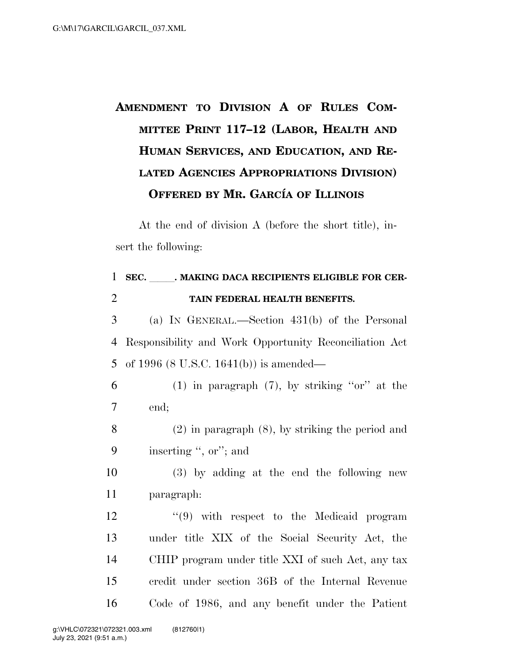## **AMENDMENT TO DIVISION A OF RULES COM-MITTEE PRINT 117–12 (LABOR, HEALTH AND HUMAN SERVICES, AND EDUCATION, AND RE-LATED AGENCIES APPROPRIATIONS DIVISION) OFFERED BY MR. GARCI´A OF ILLINOIS**

At the end of division A (before the short title), insert the following:

| SEC. MAKING DACA RECIPIENTS ELIGIBLE FOR CER-          |
|--------------------------------------------------------|
| TAIN FEDERAL HEALTH BENEFITS.                          |
| (a) IN GENERAL.—Section $431(b)$ of the Personal       |
| Responsibility and Work Opportunity Reconciliation Act |
| of 1996 $(8 \text{ U.S.C. } 1641(b))$ is amended—      |
| $(1)$ in paragraph $(7)$ , by striking "or" at the     |
| end;                                                   |
| $(2)$ in paragraph $(8)$ , by striking the period and  |
| inserting ", or"; and                                  |
| $(3)$ by adding at the end the following new           |
| paragraph:                                             |
| $(9)$ with respect to the Medicaid program             |
| under title XIX of the Social Security Act, the        |
| CHIP program under title XXI of such Act, any tax      |
| credit under section 36B of the Internal Revenue       |
| Code of 1986, and any benefit under the Patient        |
|                                                        |